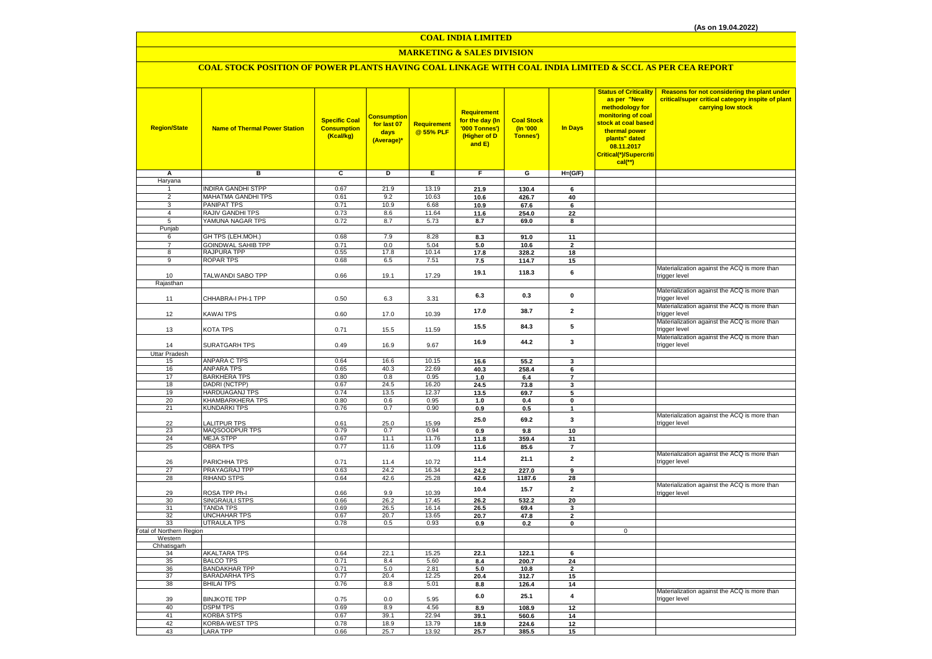# **MARKETING & SALES DIVISION**

# **COAL STOCK POSITION OF POWER PLANTS HAVING COAL LINKAGE WITH COAL INDIA LIMITED & SCCL AS PER CEA REPORT**

| <b>Region/State</b>              | <b>Name of Thermal Power Station</b>         | <b>Specific Coal</b><br><b>Consumption</b><br>(Kcal/kg) | <b>Consumption</b><br>for last 07<br>days<br>(Average)* | Requirement<br>@ 55% PLF | Requirement<br>for the day (In<br>'000 Tonnes')<br>(Higher of D<br>and E) | <b>Coal Stock</b><br>(In '000<br>Tonnes') | In Days                  | <b>Status of Criticality</b><br>as per "New<br>methodology for<br>monitoring of coal<br>stock at coal based<br>thermal power<br>plants" dated<br>08.11.2017<br>Critical(*)/Supercriti<br>$cal$ (**) | Reasons for not considering the plant under<br>critical/super critical category inspite of plant<br>carrying low stock |
|----------------------------------|----------------------------------------------|---------------------------------------------------------|---------------------------------------------------------|--------------------------|---------------------------------------------------------------------------|-------------------------------------------|--------------------------|-----------------------------------------------------------------------------------------------------------------------------------------------------------------------------------------------------|------------------------------------------------------------------------------------------------------------------------|
| Α                                | в                                            | c                                                       | D                                                       | Е                        | F                                                                         | G                                         | $H=(G/F)$                |                                                                                                                                                                                                     |                                                                                                                        |
| Haryana                          |                                              |                                                         |                                                         |                          |                                                                           |                                           |                          |                                                                                                                                                                                                     |                                                                                                                        |
| 1                                | <b>INDIRA GANDHI STPP</b>                    | 0.67                                                    | 21.9                                                    | 13.19                    | 21.9                                                                      | 130.4                                     | 6                        |                                                                                                                                                                                                     |                                                                                                                        |
| $\overline{2}$                   | MAHATMA GANDHI TPS                           | 0.61                                                    | 9.2                                                     | 10.63                    | 10.6                                                                      | 426.7                                     | 40                       |                                                                                                                                                                                                     |                                                                                                                        |
| $\overline{3}$<br>$\overline{4}$ | PANIPAT TPS<br>RAJIV GANDHI TPS              | 0.71<br>0.73                                            | 10.9<br>8.6                                             | 6.68<br>11.64            | 10.9                                                                      | 67.6                                      | $\bf 6$                  |                                                                                                                                                                                                     |                                                                                                                        |
| 5                                | YAMUNA NAGAR TPS                             | 0.72                                                    | 8.7                                                     | 5.73                     | 11.6                                                                      | 254.0<br>69.0                             | 22<br>8                  |                                                                                                                                                                                                     |                                                                                                                        |
| Punjab                           |                                              |                                                         |                                                         |                          | 8.7                                                                       |                                           |                          |                                                                                                                                                                                                     |                                                                                                                        |
| 6                                | GH TPS (LEH.MOH.)                            | 0.68                                                    | 7.9                                                     | 8.28                     | 8.3                                                                       | 91.0                                      | 11                       |                                                                                                                                                                                                     |                                                                                                                        |
| $\overline{7}$                   | GOINDWAL SAHIB TPP                           | 0.71                                                    | 0.0                                                     | 5.04                     | 5.0                                                                       | 10.6                                      | $\overline{\phantom{a}}$ |                                                                                                                                                                                                     |                                                                                                                        |
| 8                                | RAJPURA TPP                                  | 0.55                                                    | 17.8                                                    | 10.14                    | 17.8                                                                      | 328.2                                     | 18                       |                                                                                                                                                                                                     |                                                                                                                        |
| $\overline{9}$                   | <b>ROPAR TPS</b>                             | 0.68                                                    | 6.5                                                     | 7.51                     | 7.5                                                                       | 114.7                                     | 15                       |                                                                                                                                                                                                     |                                                                                                                        |
|                                  |                                              |                                                         |                                                         |                          | 19.1                                                                      | 118.3                                     | 6                        |                                                                                                                                                                                                     | Materialization against the ACQ is more than                                                                           |
| 10                               | TALWANDI SABO TPP                            | 0.66                                                    | 19.1                                                    | 17.29                    |                                                                           |                                           |                          |                                                                                                                                                                                                     | trigger level                                                                                                          |
| Rajasthan                        |                                              |                                                         |                                                         |                          |                                                                           |                                           |                          |                                                                                                                                                                                                     |                                                                                                                        |
|                                  | CHHABRA-I PH-1 TPP                           | 0.50                                                    |                                                         | 3.31                     | 6.3                                                                       | 0.3                                       | $\pmb{0}$                |                                                                                                                                                                                                     | Materialization against the ACQ is more than<br>trigger level                                                          |
| 11                               |                                              |                                                         | 6.3                                                     |                          |                                                                           |                                           |                          |                                                                                                                                                                                                     | Materialization against the ACQ is more than                                                                           |
| 12                               | KAWAI TPS                                    | 0.60                                                    | 17.0                                                    | 10.39                    | 17.0                                                                      | 38.7                                      | $\overline{2}$           |                                                                                                                                                                                                     | trigger level                                                                                                          |
|                                  |                                              |                                                         |                                                         |                          |                                                                           |                                           |                          |                                                                                                                                                                                                     | Materialization against the ACQ is more than                                                                           |
| 13                               | KOTA TPS                                     | 0.71                                                    | 15.5                                                    | 11.59                    | 15.5                                                                      | 84.3                                      | 5                        |                                                                                                                                                                                                     | trigger level                                                                                                          |
|                                  |                                              |                                                         |                                                         |                          | 16.9                                                                      | 44.2                                      | $\mathbf{3}$             |                                                                                                                                                                                                     | Materialization against the ACQ is more than                                                                           |
| 14                               | SURATGARH TPS                                | 0.49                                                    | 16.9                                                    | 9.67                     |                                                                           |                                           |                          |                                                                                                                                                                                                     | trigger level                                                                                                          |
| <b>Uttar Pradesh</b>             |                                              |                                                         |                                                         |                          |                                                                           |                                           |                          |                                                                                                                                                                                                     |                                                                                                                        |
| 15                               | <b>ANPARA C TPS</b>                          | 0.64                                                    | 16.6                                                    | 10.15                    | 16.6                                                                      | 55.2                                      | 3                        |                                                                                                                                                                                                     |                                                                                                                        |
| 16<br>17                         | <b>ANPARA TPS</b><br><b>BARKHERA TPS</b>     | 0.65<br>0.80                                            | 40.3                                                    | 22.69                    | 40.3                                                                      | 258.4                                     | 6<br>$\overline{7}$      |                                                                                                                                                                                                     |                                                                                                                        |
| 18                               | DADRI (NCTPP)                                | 0.67                                                    | 0.8<br>24.5                                             | 0.95<br>16.20            | 1.0<br>24.5                                                               | 6.4<br>73.8                               | 3                        |                                                                                                                                                                                                     |                                                                                                                        |
| 19                               | HARDUAGANJ TPS                               | 0.74                                                    | 13.5                                                    | 12.37                    | 13.5                                                                      | 69.7                                      | 5                        |                                                                                                                                                                                                     |                                                                                                                        |
| 20                               | KHAMBARKHERA TPS                             | 0.80                                                    | 0.6                                                     | 0.95                     | 1.0                                                                       | 0.4                                       | 0                        |                                                                                                                                                                                                     |                                                                                                                        |
| 21                               | <b>KUNDARKI TPS</b>                          | 0.76                                                    | 0.7                                                     | 0.90                     | 0.9                                                                       | 0.5                                       | 1                        |                                                                                                                                                                                                     |                                                                                                                        |
|                                  |                                              |                                                         |                                                         |                          | 25.0                                                                      | 69.2                                      | $\mathbf{3}$             |                                                                                                                                                                                                     | Materialization against the ACQ is more than                                                                           |
| 22                               | <b>ALITPUR TPS</b>                           | 0.61                                                    | 25.0                                                    | 15.99                    |                                                                           |                                           |                          |                                                                                                                                                                                                     | trigger level                                                                                                          |
| 23                               | MAQSOODPUR TPS                               | 0.79                                                    | 0.7                                                     | 0.94                     | $0.9\,$                                                                   | 9.8                                       | 10                       |                                                                                                                                                                                                     |                                                                                                                        |
| 24                               | <b>MEJA STPP</b>                             | 0.67                                                    | 11.1                                                    | 11.76                    | 11.8                                                                      | 359.4                                     | 31                       |                                                                                                                                                                                                     |                                                                                                                        |
| 25                               | <b>OBRA TPS</b>                              | 0.77                                                    | 11.6                                                    | 11.09                    | 11.6                                                                      | 85.6                                      | $\overline{7}$           |                                                                                                                                                                                                     | Materialization against the ACQ is more than                                                                           |
| 26                               | PARICHHA TPS                                 | 0.71                                                    | 11.4                                                    | 10.72                    | 11.4                                                                      | 21.1                                      | $\overline{2}$           |                                                                                                                                                                                                     | trigger level                                                                                                          |
| 27                               | PRAYAGRAJ TPP                                | 0.63                                                    | 24.2                                                    | 16.34                    | 24.2                                                                      | 227.0                                     | $\overline{9}$           |                                                                                                                                                                                                     |                                                                                                                        |
| 28                               | <b>RIHAND STPS</b>                           | 0.64                                                    | 42.6                                                    | 25.28                    | 42.6                                                                      | 1187.6                                    | 28                       |                                                                                                                                                                                                     |                                                                                                                        |
|                                  |                                              |                                                         |                                                         |                          | 10.4                                                                      | 15.7                                      | $\overline{\mathbf{2}}$  |                                                                                                                                                                                                     | Materialization against the ACQ is more than                                                                           |
| 29                               | ROSA TPP Ph-I                                | 0.66                                                    | 9.9                                                     | 10.39                    |                                                                           |                                           |                          |                                                                                                                                                                                                     | trigger level                                                                                                          |
| 30                               | SINGRAULI STPS                               | 0.66                                                    | 26.2                                                    | 17.45                    | 26.2                                                                      | 532.2                                     | 20                       |                                                                                                                                                                                                     |                                                                                                                        |
| 31<br>32                         | <b>TANDA TPS</b><br>UNCHAHAR TPS             | 0.69<br>0.67                                            | 26.5                                                    | 16.14<br>13.65           | 26.5                                                                      | 69.4                                      | 3                        |                                                                                                                                                                                                     |                                                                                                                        |
| 33                               | <b>UTRAULA TPS</b>                           | 0.78                                                    | 20.7<br>0.5                                             | 0.93                     | 20.7<br>0.9                                                               | 47.8<br>0.2                               | $\mathbf{2}$<br>0        |                                                                                                                                                                                                     |                                                                                                                        |
| <b>Total of Northern Region</b>  |                                              |                                                         |                                                         |                          |                                                                           |                                           |                          | $\mathsf 0$                                                                                                                                                                                         |                                                                                                                        |
| Western                          |                                              |                                                         |                                                         |                          |                                                                           |                                           |                          |                                                                                                                                                                                                     |                                                                                                                        |
| Chhatisgarh                      |                                              |                                                         |                                                         |                          |                                                                           |                                           |                          |                                                                                                                                                                                                     |                                                                                                                        |
| 34                               | <b>AKALTARA TPS</b>                          | 0.64                                                    | 22.1                                                    | 15.25                    | 22.1                                                                      | 122.1                                     | 6                        |                                                                                                                                                                                                     |                                                                                                                        |
| 35                               | <b>BALCO TPS</b>                             | 0.71                                                    | 8.4                                                     | 5.60                     | 8.4                                                                       | 200.7                                     | 24                       |                                                                                                                                                                                                     |                                                                                                                        |
| 36<br>37                         | <b>BANDAKHAR TPP</b><br><b>BARADARHA TPS</b> | 0.71<br>0.77                                            | 5.0<br>20.4                                             | 2.81<br>12.25            | 5.0<br>20.4                                                               | 10.8<br>312.7                             | $\overline{2}$           |                                                                                                                                                                                                     |                                                                                                                        |
| 38                               | <b>BHILAI TPS</b>                            | 0.76                                                    | 8.8                                                     | 5.01                     | 8.8                                                                       | 126.4                                     | 15<br>14                 |                                                                                                                                                                                                     |                                                                                                                        |
|                                  |                                              |                                                         |                                                         |                          |                                                                           |                                           |                          |                                                                                                                                                                                                     | Materialization against the ACQ is more than                                                                           |
| 39                               | <b>BINJKOTE TPP</b>                          | 0.75                                                    | 0.0                                                     | 5.95                     | 6.0                                                                       | 25.1                                      | $\overline{\mathbf{4}}$  |                                                                                                                                                                                                     | trigger level                                                                                                          |
| 40                               | <b>DSPM TPS</b>                              | 0.69                                                    | 8.9                                                     | 4.56                     | 8.9                                                                       | 108.9                                     | 12                       |                                                                                                                                                                                                     |                                                                                                                        |
| 41                               | <b>KORBA STPS</b>                            | 0.67                                                    | 39.1                                                    | 22.94                    | 39.1                                                                      | 560.6                                     | 14                       |                                                                                                                                                                                                     |                                                                                                                        |
| 42                               | KORBA-WEST TPS                               | 0.78                                                    | 18.9                                                    | 13.79                    | 18.9                                                                      | 224.6                                     | 12                       |                                                                                                                                                                                                     |                                                                                                                        |
| 43                               | <b>LARA TPP</b>                              | 0.66                                                    | 25.7                                                    | 13.92                    | 25.7                                                                      | 385.5                                     | 15                       |                                                                                                                                                                                                     |                                                                                                                        |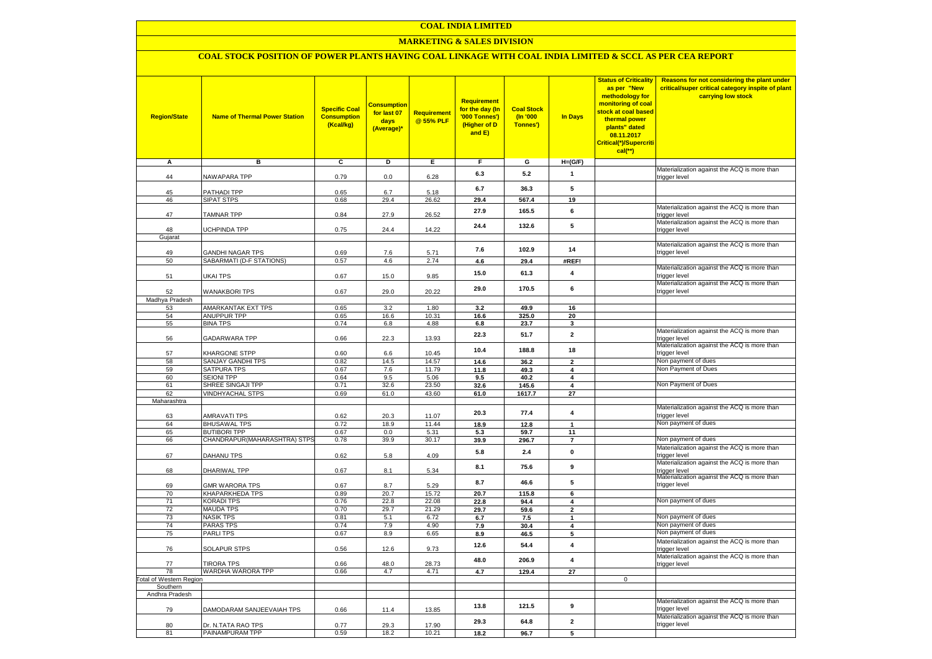### **MARKETING & SALES DIVISION**

### **COAL STOCK POSITION OF POWER PLANTS HAVING COAL LINKAGE WITH COAL INDIA LIMITED & SCCL AS PER CEA REPORT**

| <b>Region/State</b>        | <b>Name of Thermal Power Station</b>                | <b>Specific Coal</b><br><b>Consumption</b><br>(Kcal/kg) | <mark>Consumption</mark><br>for last 07<br>days<br>(Average)* | <b>Requirement</b><br>@ 55% PLF | <b>Requirement</b><br>for the day (In<br>'000 Tonnes')<br>(Higher of D<br>and E) | <b>Coal Stock</b><br>$($ ln '000<br>Tonnes') | In Days                        | <b>Status of Criticality</b><br>as per "New<br>methodology for<br>monitoring of coal<br>stock at coal based<br>thermal power<br>plants" dated<br>08.11.2017<br>Critical(*)/Supercriti<br>$cal$ (**) | Reasons for not considering the plant under<br>critical/super critical category inspite of plant<br>carrying low stock |
|----------------------------|-----------------------------------------------------|---------------------------------------------------------|---------------------------------------------------------------|---------------------------------|----------------------------------------------------------------------------------|----------------------------------------------|--------------------------------|-----------------------------------------------------------------------------------------------------------------------------------------------------------------------------------------------------|------------------------------------------------------------------------------------------------------------------------|
| Α                          | в                                                   | С                                                       | D                                                             | Е                               | F.                                                                               | G                                            | $H=(G/F)$                      |                                                                                                                                                                                                     |                                                                                                                        |
| 44                         | <b>VAWAPARA TPP</b>                                 | 0.79                                                    | 0.0                                                           | 6.28                            | 6.3                                                                              | 5.2                                          | $\mathbf{1}$                   |                                                                                                                                                                                                     | Materialization against the ACQ is more than<br>trigger level                                                          |
|                            |                                                     |                                                         |                                                               |                                 | 6.7                                                                              | 36.3                                         | 5                              |                                                                                                                                                                                                     |                                                                                                                        |
| 45<br>46                   | <b>PATHADI TPP</b><br>SIPAT STPS                    | 0.65<br>0.68                                            | 6.7<br>29.4                                                   | 5.18<br>26.62                   | 29.4                                                                             | 567.4                                        | 19                             |                                                                                                                                                                                                     |                                                                                                                        |
| 47                         | <b>TAMNAR TPP</b>                                   | 0.84                                                    | 27.9                                                          | 26.52                           | 27.9                                                                             | 165.5                                        | 6                              |                                                                                                                                                                                                     | Materialization against the ACQ is more than<br>trigger level                                                          |
| 48                         | <b>JCHPINDA TPP</b>                                 | 0.75                                                    | 24.4                                                          | 14.22                           | 24.4                                                                             | 132.6                                        | 5                              |                                                                                                                                                                                                     | Materialization against the ACQ is more than                                                                           |
| Gujarat                    |                                                     |                                                         |                                                               |                                 |                                                                                  |                                              |                                |                                                                                                                                                                                                     | trigger level                                                                                                          |
|                            |                                                     |                                                         |                                                               |                                 | 7.6                                                                              | 102.9                                        | 14                             |                                                                                                                                                                                                     | Materialization against the ACQ is more than                                                                           |
| 49<br>50                   | <b>GANDHI NAGAR TPS</b><br>SABARMATI (D-F STATIONS) | 0.69<br>0.57                                            | 7.6<br>4.6                                                    | 5.71<br>2.74                    | 4.6                                                                              | 29.4                                         | #REF!                          |                                                                                                                                                                                                     | trigger level                                                                                                          |
|                            |                                                     |                                                         |                                                               |                                 |                                                                                  |                                              |                                |                                                                                                                                                                                                     | Materialization against the ACQ is more than                                                                           |
| 51                         | <b>JKAI TPS</b>                                     | 0.67                                                    | 15.0                                                          | 9.85                            | 15.0                                                                             | 61.3                                         | 4                              |                                                                                                                                                                                                     | trigger level<br>Materialization against the ACQ is more than                                                          |
| 52<br>Madhya Pradesh       | <b>WANAKBORI TPS</b>                                | 0.67                                                    | 29.0                                                          | 20.22                           | 29.0                                                                             | 170.5                                        | 6                              |                                                                                                                                                                                                     | trigger level                                                                                                          |
| 53                         | AMARKANTAK EXT TPS                                  | 0.65                                                    | 3.2                                                           | 1.80                            | 3.2                                                                              | 49.9                                         | 16                             |                                                                                                                                                                                                     |                                                                                                                        |
| 54                         | <b>ANUPPUR TPP</b>                                  | 0.65                                                    | 16.6                                                          | 10.31                           | 16.6                                                                             | 325.0                                        | 20                             |                                                                                                                                                                                                     |                                                                                                                        |
| 55                         | <b>BINA TPS</b>                                     | 0.74                                                    | 6.8                                                           | 4.88                            | 6.8                                                                              | 23.7                                         | $\mathbf{3}$                   |                                                                                                                                                                                                     |                                                                                                                        |
| 56                         | GADARWARA TPP                                       | 0.66                                                    | 22.3                                                          | 13.93                           | 22.3                                                                             | 51.7                                         | $\mathbf 2$                    |                                                                                                                                                                                                     | Materialization against the ACQ is more than<br>trigger level                                                          |
| 57                         | KHARGONE STPP                                       | 0.60                                                    | $6.6\,$                                                       | 10.45                           | 10.4                                                                             | 188.8                                        | 18                             |                                                                                                                                                                                                     | Materialization against the ACQ is more than<br>trigger level                                                          |
| 58                         | SANJAY GANDHI TPS                                   | 0.82                                                    | 14.5                                                          | 14.57                           | 14.6                                                                             | 36.2                                         | $\overline{2}$                 |                                                                                                                                                                                                     | Non payment of dues                                                                                                    |
| 59                         | SATPURA TPS                                         | 0.67                                                    | 7.6                                                           | 11.79                           | 11.8                                                                             | 49.3                                         | 4                              |                                                                                                                                                                                                     | Non Payment of Dues                                                                                                    |
| 60                         | <b>SEIONI TPP</b>                                   | 0.64                                                    | 9.5                                                           | 5.06                            | 9.5                                                                              | 40.2                                         | 4                              |                                                                                                                                                                                                     |                                                                                                                        |
| 61<br>62                   | SHREE SINGAJI TPP<br><b>VINDHYACHAL STPS</b>        | 0.71<br>0.69                                            | 32.6                                                          | 23.50<br>43.60                  | 32.6                                                                             | 145.6                                        | 4                              |                                                                                                                                                                                                     | Non Payment of Dues                                                                                                    |
| Maharashtra                |                                                     |                                                         | 61.0                                                          |                                 | 61.0                                                                             | 1617.7                                       | 27                             |                                                                                                                                                                                                     |                                                                                                                        |
|                            |                                                     |                                                         |                                                               |                                 | 20.3                                                                             | 77.4                                         | 4                              |                                                                                                                                                                                                     | Materialization against the ACQ is more than                                                                           |
| 63                         | <b>AMRAVATI TPS</b>                                 | 0.62                                                    | 20.3                                                          | 11.07                           |                                                                                  |                                              |                                |                                                                                                                                                                                                     | trigger level<br>Non payment of dues                                                                                   |
| 64<br>65                   | <b>BHUSAWAL TPS</b><br><b>BUTIBORI TPP</b>          | 0.72<br>0.67                                            | 18.9<br>0.0                                                   | 11.44<br>5.31                   | 18.9                                                                             | 12.8                                         | $\mathbf{1}$                   |                                                                                                                                                                                                     |                                                                                                                        |
| 66                         | CHANDRAPUR(MAHARASHTRA) STPS                        | 0.78                                                    | 39.9                                                          | 30.17                           | 5.3<br>39.9                                                                      | 59.7<br>296.7                                | 11<br>$\overline{7}$           |                                                                                                                                                                                                     | Non payment of dues                                                                                                    |
|                            |                                                     |                                                         |                                                               |                                 | 5.8                                                                              | $2.4\,$                                      | $\pmb{0}$                      |                                                                                                                                                                                                     | Materialization against the ACQ is more than                                                                           |
| 67                         | DAHANU TPS                                          | 0.62                                                    | 5.8                                                           | 4.09                            |                                                                                  |                                              |                                |                                                                                                                                                                                                     | trigger level<br>Materialization against the ACQ is more than                                                          |
| 68                         | DHARIWAL TPP                                        | 0.67                                                    | 8.1                                                           | 5.34                            | 8.1                                                                              | 75.6                                         | $\boldsymbol{9}$               |                                                                                                                                                                                                     | trigger level<br>Materialization against the ACQ is more than                                                          |
| 69                         | <b>GMR WARORA TPS</b>                               | 0.67                                                    | 8.7                                                           | 5.29                            | 8.7                                                                              | 46.6                                         | 5                              |                                                                                                                                                                                                     | trigger level                                                                                                          |
| 70                         | <b>KHAPARKHEDA TPS</b>                              | 0.89                                                    | 20.7                                                          | 15.72                           | 20.7                                                                             | 115.8                                        | 6                              |                                                                                                                                                                                                     |                                                                                                                        |
| 71                         | <b>KORADI TPS</b>                                   | 0.76                                                    | 22.8                                                          | 22.08                           | 22.8                                                                             | 94.4                                         | 4                              |                                                                                                                                                                                                     | Non payment of dues                                                                                                    |
| 72<br>73                   | <b>MAUDA TPS</b><br><b>NASIK TPS</b>                | 0.70<br>0.81                                            | 29.7<br>5.1                                                   | 21.29<br>6.72                   | 29.7<br>6.7                                                                      | 59.6<br>7.5                                  | $\overline{2}$<br>$\mathbf{1}$ |                                                                                                                                                                                                     | Non payment of dues                                                                                                    |
| 74                         | <b>PARAS TPS</b>                                    | 0.74                                                    | 7.9                                                           | 4.90                            | 7.9                                                                              | 30.4                                         | 4                              |                                                                                                                                                                                                     | Non payment of dues                                                                                                    |
| 75                         | <b>PARLITPS</b>                                     | 0.67                                                    | 8.9                                                           | 6.65                            | 8.9                                                                              | 46.5                                         | 5                              |                                                                                                                                                                                                     | Non payment of dues                                                                                                    |
| 76                         | <b>SOLAPUR STPS</b>                                 | 0.56                                                    | 12.6                                                          | 9.73                            | 12.6                                                                             | 54.4                                         | 4                              |                                                                                                                                                                                                     | Materialization against the ACQ is more than<br>trigger level                                                          |
| 77                         | <b>TIRORA TPS</b>                                   | 0.66                                                    | 48.0                                                          | 28.73                           | 48.0                                                                             | 206.9                                        | $\overline{\mathbf{4}}$        |                                                                                                                                                                                                     | Materialization against the ACQ is more than<br>trigger level                                                          |
| 78                         | WARDHA WARORA TPP                                   | 0.66                                                    | 4.7                                                           | 4.71                            | 4.7                                                                              | 129.4                                        | 27                             |                                                                                                                                                                                                     |                                                                                                                        |
| otal of Western Region     |                                                     |                                                         |                                                               |                                 |                                                                                  |                                              |                                | $\mathbf 0$                                                                                                                                                                                         |                                                                                                                        |
| Southern<br>Andhra Pradesh |                                                     |                                                         |                                                               |                                 |                                                                                  |                                              |                                |                                                                                                                                                                                                     |                                                                                                                        |
| 79                         | DAMODARAM SANJEEVAIAH TPS                           | 0.66                                                    | 11.4                                                          | 13.85                           | 13.8                                                                             | 121.5                                        | 9                              |                                                                                                                                                                                                     | Materialization against the ACQ is more than<br>trigger level                                                          |
| 80                         | Dr. N.TATA RAO TPS                                  | 0.77                                                    | 29.3                                                          | 17.90                           | 29.3                                                                             | 64.8                                         | $\overline{\mathbf{2}}$        |                                                                                                                                                                                                     | Materialization against the ACQ is more than<br>trigger level                                                          |
| 81                         | PAINAMPURAM TPP                                     | 0.59                                                    | 18.2                                                          | 10.21                           | 18.2                                                                             | 96.7                                         | 5                              |                                                                                                                                                                                                     |                                                                                                                        |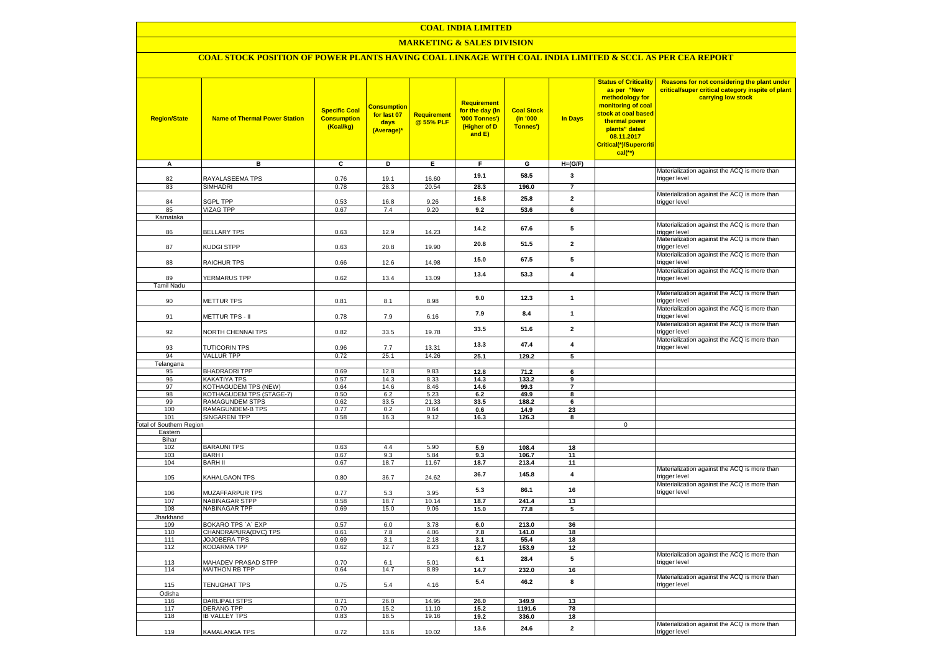### **MARKETING & SALES DIVISION**

# **COAL STOCK POSITION OF POWER PLANTS HAVING COAL LINKAGE WITH COAL INDIA LIMITED & SCCL AS PER CEA REPORT**

| <b>Region/State</b>                        | <b>Name of Thermal Power Station</b>       | <b>Specific Coal</b><br><b>Consumption</b><br>(Kcal/kg) | <b>Consumption</b><br>for last 07<br>days<br>(Average)* | <b>Requirement</b><br>@ 55% PLF | Requirement<br>for the day (In<br>'000 Tonnes')<br>(Higher of D<br>and E) | <b>Coal Stock</b><br>$($ ln '000<br>Tonnes') | In Days                 | <b>Status of Criticality</b><br>as per "New<br>methodology for<br>monitoring of coal<br>stock at coal based<br>thermal power<br>plants" dated<br>08.11.2017<br>Critical(*)/Supercriti<br>$cal$ (**) | Reasons for not considering the plant under<br>critical/super critical category inspite of plant<br>carrying low stock |
|--------------------------------------------|--------------------------------------------|---------------------------------------------------------|---------------------------------------------------------|---------------------------------|---------------------------------------------------------------------------|----------------------------------------------|-------------------------|-----------------------------------------------------------------------------------------------------------------------------------------------------------------------------------------------------|------------------------------------------------------------------------------------------------------------------------|
| A                                          | в                                          | c                                                       | D                                                       | Е                               | F.                                                                        | G                                            | $H=(G/F)$               |                                                                                                                                                                                                     |                                                                                                                        |
| 82                                         | RAYALASEEMA TPS                            | 0.76                                                    | 19.1                                                    | 16.60                           | 19.1                                                                      | 58.5                                         | 3                       |                                                                                                                                                                                                     | Materialization against the ACQ is more than<br>trigger level                                                          |
| 83                                         | SIMHADRI                                   | 0.78                                                    | 28.3                                                    | 20.54                           | 28.3                                                                      | 196.0                                        | $\overline{7}$          |                                                                                                                                                                                                     |                                                                                                                        |
|                                            |                                            |                                                         |                                                         |                                 |                                                                           |                                              |                         |                                                                                                                                                                                                     | Materialization against the ACQ is more than                                                                           |
| 84                                         | <b>SGPL TPP</b>                            | 0.53                                                    | 16.8                                                    | 9.26                            | 16.8                                                                      | 25.8                                         | $\overline{2}$          |                                                                                                                                                                                                     | trigger level                                                                                                          |
| 85                                         | <b>VIZAG TPP</b>                           | 0.67                                                    | 7.4                                                     | 9.20                            | 9.2                                                                       | 53.6                                         | 6                       |                                                                                                                                                                                                     |                                                                                                                        |
| Karnataka                                  |                                            |                                                         |                                                         |                                 |                                                                           |                                              |                         |                                                                                                                                                                                                     | Materialization against the ACQ is more than                                                                           |
| 86                                         | <b>BELLARY TPS</b>                         | 0.63                                                    | 12.9                                                    | 14.23                           | 14.2                                                                      | 67.6                                         | 5                       |                                                                                                                                                                                                     | trigger level                                                                                                          |
| 87                                         | KUDGI STPP                                 | 0.63                                                    | 20.8                                                    | 19.90                           | 20.8                                                                      | 51.5                                         | $\mathbf{2}$            |                                                                                                                                                                                                     | Materialization against the ACQ is more than<br>trigger level                                                          |
| 88                                         | <b>RAICHUR TPS</b>                         | 0.66                                                    | 12.6                                                    | 14.98                           | 15.0                                                                      | 67.5                                         | 5                       |                                                                                                                                                                                                     | Materialization against the ACQ is more than<br>trigger level                                                          |
|                                            |                                            |                                                         |                                                         |                                 | 13.4                                                                      | 53.3                                         | $\overline{4}$          |                                                                                                                                                                                                     | Materialization against the ACQ is more than                                                                           |
| 89                                         | <b>YERMARUS TPP</b>                        | 0.62                                                    | 13.4                                                    | 13.09                           |                                                                           |                                              |                         |                                                                                                                                                                                                     | trigger level                                                                                                          |
| <b>Tamil Nadu</b>                          |                                            |                                                         |                                                         |                                 |                                                                           |                                              |                         |                                                                                                                                                                                                     | Materialization against the ACQ is more than                                                                           |
| 90                                         | <b>METTUR TPS</b>                          | 0.81                                                    | 8.1                                                     | 8.98                            | 9.0                                                                       | 12.3                                         | $\mathbf{1}$            |                                                                                                                                                                                                     | trigger level                                                                                                          |
| 91                                         | METTUR TPS - II                            | 0.78                                                    | 7.9                                                     | 6.16                            | 7.9                                                                       | 8.4                                          | $\mathbf{1}$            |                                                                                                                                                                                                     | Materialization against the ACQ is more than<br>trigger level                                                          |
| 92                                         | <b>VORTH CHENNAI TPS</b>                   | 0.82                                                    | 33.5                                                    | 19.78                           | 33.5                                                                      | 51.6                                         | $\overline{2}$          |                                                                                                                                                                                                     | Materialization against the ACQ is more than<br>trigger level                                                          |
|                                            |                                            |                                                         |                                                         |                                 | 13.3                                                                      | 47.4                                         | $\overline{\mathbf{4}}$ |                                                                                                                                                                                                     | Materialization against the ACQ is more than                                                                           |
| 93                                         | <b>TUTICORIN TPS</b>                       | 0.96                                                    | 7.7                                                     | 13.31                           |                                                                           |                                              |                         |                                                                                                                                                                                                     | trigger level                                                                                                          |
| 94                                         | <b>VALLUR TPP</b>                          | 0.72                                                    | 25.1                                                    | 14.26                           | 25.1                                                                      | 129.2                                        | 5                       |                                                                                                                                                                                                     |                                                                                                                        |
| Telangana<br>95                            | <b>BHADRADRI TPP</b>                       | 0.69                                                    | 12.8                                                    | 9.83                            | 12.8                                                                      | 71.2                                         | 6                       |                                                                                                                                                                                                     |                                                                                                                        |
| 96                                         | KAKATIYA TPS                               | 0.57                                                    | 14.3                                                    | 8.33                            | 14.3                                                                      | 133.2                                        | $\mathbf{q}$            |                                                                                                                                                                                                     |                                                                                                                        |
| 97                                         | KOTHAGUDEM TPS (NEW)                       | 0.64                                                    | 14.6                                                    | 8.46                            | 14.6                                                                      | 99.3                                         | $\overline{7}$          |                                                                                                                                                                                                     |                                                                                                                        |
| 98                                         | KOTHAGUDEM TPS (STAGE-7)                   | 0.50                                                    | 6.2                                                     | 5.23                            | 6.2                                                                       | 49.9                                         | 8                       |                                                                                                                                                                                                     |                                                                                                                        |
| 99                                         | <b>RAMAGUNDEM STPS</b>                     | 0.62                                                    | 33.5                                                    | 21.33                           | 33.5                                                                      | 188.2                                        | 6                       |                                                                                                                                                                                                     |                                                                                                                        |
| 100                                        | <b>RAMAGUNDEM-B TPS</b>                    | 0.77                                                    | 0.2                                                     | 0.64                            | 0.6                                                                       | 14.9                                         | 23                      |                                                                                                                                                                                                     |                                                                                                                        |
| 101                                        | <b>SINGARENI TPP</b>                       | 0.58                                                    | 16.3                                                    | 9.12                            | 16.3                                                                      | 126.3                                        | 8                       | $\mathbf 0$                                                                                                                                                                                         |                                                                                                                        |
| <b>Fotal of Southern Region</b><br>Eastern |                                            |                                                         |                                                         |                                 |                                                                           |                                              |                         |                                                                                                                                                                                                     |                                                                                                                        |
| Bihar                                      |                                            |                                                         |                                                         |                                 |                                                                           |                                              |                         |                                                                                                                                                                                                     |                                                                                                                        |
| 102                                        | <b>BARAUNI TPS</b>                         | 0.63                                                    | 4.4                                                     | 5.90                            | 5.9                                                                       | 108.4                                        | 18                      |                                                                                                                                                                                                     |                                                                                                                        |
| 103                                        | <b>BARHI</b>                               | 0.67                                                    | 9.3                                                     | 5.84                            | 9.3                                                                       | 106.7                                        | 11                      |                                                                                                                                                                                                     |                                                                                                                        |
| 104                                        | <b>BARH II</b>                             | 0.67                                                    | 18.7                                                    | 11.67                           | 18.7                                                                      | 213.4                                        | 11                      |                                                                                                                                                                                                     |                                                                                                                        |
| 105                                        | KAHALGAON TPS                              | 0.80                                                    | 36.7                                                    | 24.62                           | 36.7                                                                      | 145.8                                        | $\overline{\mathbf{4}}$ |                                                                                                                                                                                                     | Materialization against the ACQ is more than<br>trigger level                                                          |
| 106                                        | MUZAFFARPUR TPS                            | 0.77                                                    | 5.3                                                     | 3.95                            | 5.3                                                                       | 86.1                                         | 16                      |                                                                                                                                                                                                     | Materialization against the ACQ is more than<br>trigger level                                                          |
| 107                                        | <b>NABINAGAR STPP</b>                      | 0.58                                                    | 18.7                                                    | 10.14                           | 18.7                                                                      | 241.4                                        | 13                      |                                                                                                                                                                                                     |                                                                                                                        |
| 108                                        | <b>NABINAGAR TPP</b>                       | 0.69                                                    | 15.0                                                    | 9.06                            | 15.0                                                                      | 77.8                                         | 5                       |                                                                                                                                                                                                     |                                                                                                                        |
| Jharkhand<br>109                           | BOKARO TPS `A` EXP                         | 0.57                                                    | 6.0                                                     | 3.78                            | 6.0                                                                       | 213.0                                        | 36                      |                                                                                                                                                                                                     |                                                                                                                        |
| 110                                        | CHANDRAPURA(DVC) TPS                       | 0.61                                                    | 7.8                                                     | 4.06                            | 7.8                                                                       | 141.0                                        | 18                      |                                                                                                                                                                                                     |                                                                                                                        |
| 111                                        | <b>JOJOBERA TPS</b>                        | 0.69                                                    | 3.1                                                     | 2.18                            | 3.1                                                                       | 55.4                                         | 18                      |                                                                                                                                                                                                     |                                                                                                                        |
| 112                                        | KODARMA TPP                                | 0.62                                                    | 12.7                                                    | 8.23                            | 12.7                                                                      | 153.9                                        | 12                      |                                                                                                                                                                                                     |                                                                                                                        |
| 113                                        | <b>MAHADEV PRASAD STPP</b>                 | 0.70                                                    | 6.1                                                     | 5.01                            | 6.1                                                                       | 28.4                                         | 5                       |                                                                                                                                                                                                     | Materialization against the ACQ is more than<br>trigger level                                                          |
| 114                                        | <b>MAITHON RB TPP</b>                      | 0.64                                                    | 14.7                                                    | 8.89                            | 14.7                                                                      | 232.0                                        | 16                      |                                                                                                                                                                                                     |                                                                                                                        |
| 115                                        | TENUGHAT TPS                               | 0.75                                                    | 5.4                                                     | 4.16                            | 5.4                                                                       | 46.2                                         | 8                       |                                                                                                                                                                                                     | Materialization against the ACQ is more than<br>trigger level                                                          |
| Odisha                                     |                                            |                                                         |                                                         |                                 |                                                                           |                                              |                         |                                                                                                                                                                                                     |                                                                                                                        |
| 116<br>117                                 | <b>DARLIPALI STPS</b><br><b>DERANG TPP</b> | 0.71<br>0.70                                            | 26.0<br>15.2                                            | 14.95<br>11.10                  | 26.0                                                                      | 349.9                                        | 13                      |                                                                                                                                                                                                     |                                                                                                                        |
| 118                                        | <b>IB VALLEY TPS</b>                       | 0.83                                                    | 18.5                                                    | 19.16                           | 15.2<br>19.2                                                              | 1191.6<br>336.0                              | 78<br>18                |                                                                                                                                                                                                     |                                                                                                                        |
|                                            |                                            |                                                         |                                                         |                                 |                                                                           |                                              |                         |                                                                                                                                                                                                     | Materialization against the ACQ is more than                                                                           |
| 119                                        | KAMALANGA TPS                              | 0.72                                                    | 13.6                                                    | 10.02                           | 13.6                                                                      | 24.6                                         | $\mathbf{2}$            |                                                                                                                                                                                                     | trigger level                                                                                                          |